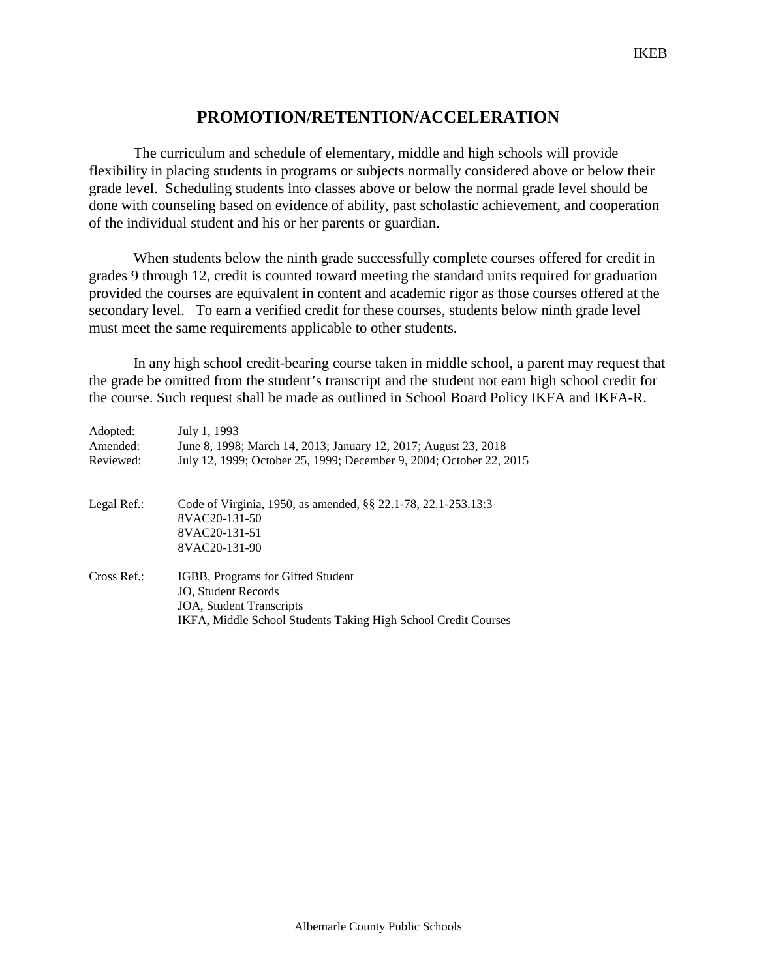## **PROMOTION/RETENTION/ACCELERATION**

The curriculum and schedule of elementary, middle and high schools will provide flexibility in placing students in programs or subjects normally considered above or below their grade level. Scheduling students into classes above or below the normal grade level should be done with counseling based on evidence of ability, past scholastic achievement, and cooperation of the individual student and his or her parents or guardian.

When students below the ninth grade successfully complete courses offered for credit in grades 9 through 12, credit is counted toward meeting the standard units required for graduation provided the courses are equivalent in content and academic rigor as those courses offered at the secondary level. To earn a verified credit for these courses, students below ninth grade level must meet the same requirements applicable to other students.

In any high school credit-bearing course taken in middle school, a parent may request that the grade be omitted from the student's transcript and the student not earn high school credit for the course. Such request shall be made as outlined in School Board Policy IKFA and IKFA-R.

| Adopted:<br>Amended:<br>Reviewed: | July 1, 1993<br>June 8, 1998; March 14, 2013; January 12, 2017; August 23, 2018<br>July 12, 1999; October 25, 1999; December 9, 2004; October 22, 2015 |
|-----------------------------------|--------------------------------------------------------------------------------------------------------------------------------------------------------|
| Legal Ref.:                       | Code of Virginia, 1950, as amended, §§ 22.1-78, 22.1-253.13:3                                                                                          |
|                                   | 8VAC20-131-50                                                                                                                                          |
|                                   | 8VAC20-131-51                                                                                                                                          |
|                                   | 8VAC20-131-90                                                                                                                                          |
| Cross Ref.:                       | IGBB, Programs for Gifted Student                                                                                                                      |
|                                   | <b>JO.</b> Student Records                                                                                                                             |
|                                   | <b>JOA, Student Transcripts</b>                                                                                                                        |
|                                   | IKFA, Middle School Students Taking High School Credit Courses                                                                                         |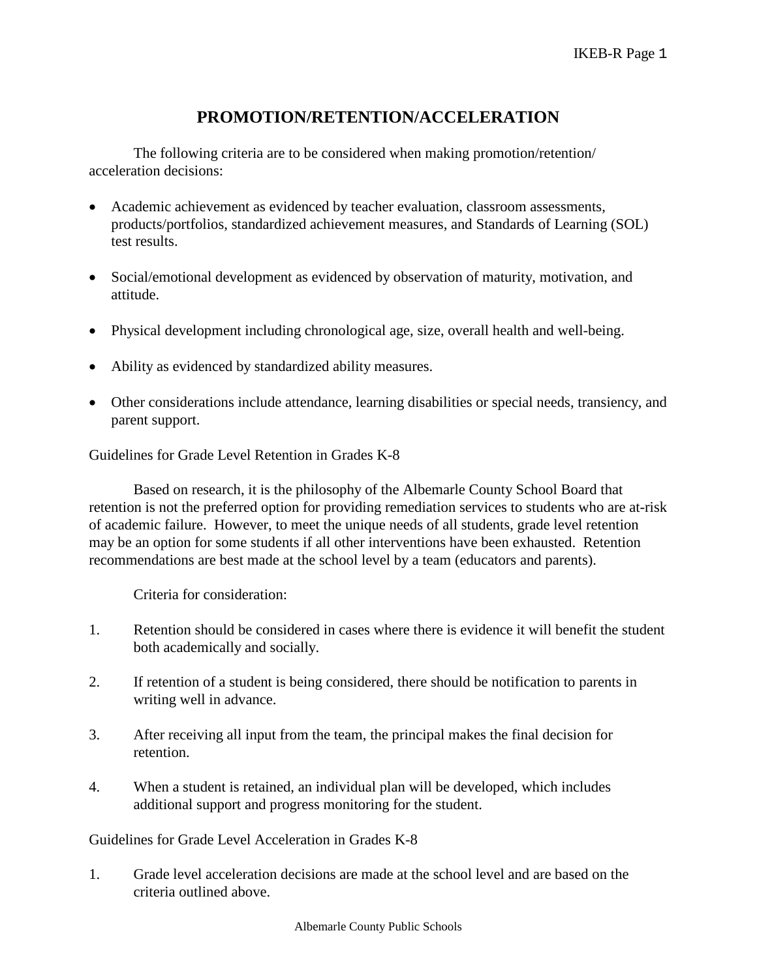## **PROMOTION/RETENTION/ACCELERATION**

The following criteria are to be considered when making promotion/retention/ acceleration decisions:

- Academic achievement as evidenced by teacher evaluation, classroom assessments, products/portfolios, standardized achievement measures, and Standards of Learning (SOL) test results.
- Social/emotional development as evidenced by observation of maturity, motivation, and attitude.
- Physical development including chronological age, size, overall health and well-being.
- Ability as evidenced by standardized ability measures.
- Other considerations include attendance, learning disabilities or special needs, transiency, and parent support.

Guidelines for Grade Level Retention in Grades K-8

Based on research, it is the philosophy of the Albemarle County School Board that retention is not the preferred option for providing remediation services to students who are at-risk of academic failure. However, to meet the unique needs of all students, grade level retention may be an option for some students if all other interventions have been exhausted. Retention recommendations are best made at the school level by a team (educators and parents).

Criteria for consideration:

- 1. Retention should be considered in cases where there is evidence it will benefit the student both academically and socially.
- 2. If retention of a student is being considered, there should be notification to parents in writing well in advance.
- 3. After receiving all input from the team, the principal makes the final decision for retention.
- 4. When a student is retained, an individual plan will be developed, which includes additional support and progress monitoring for the student.

Guidelines for Grade Level Acceleration in Grades K-8

1. Grade level acceleration decisions are made at the school level and are based on the criteria outlined above.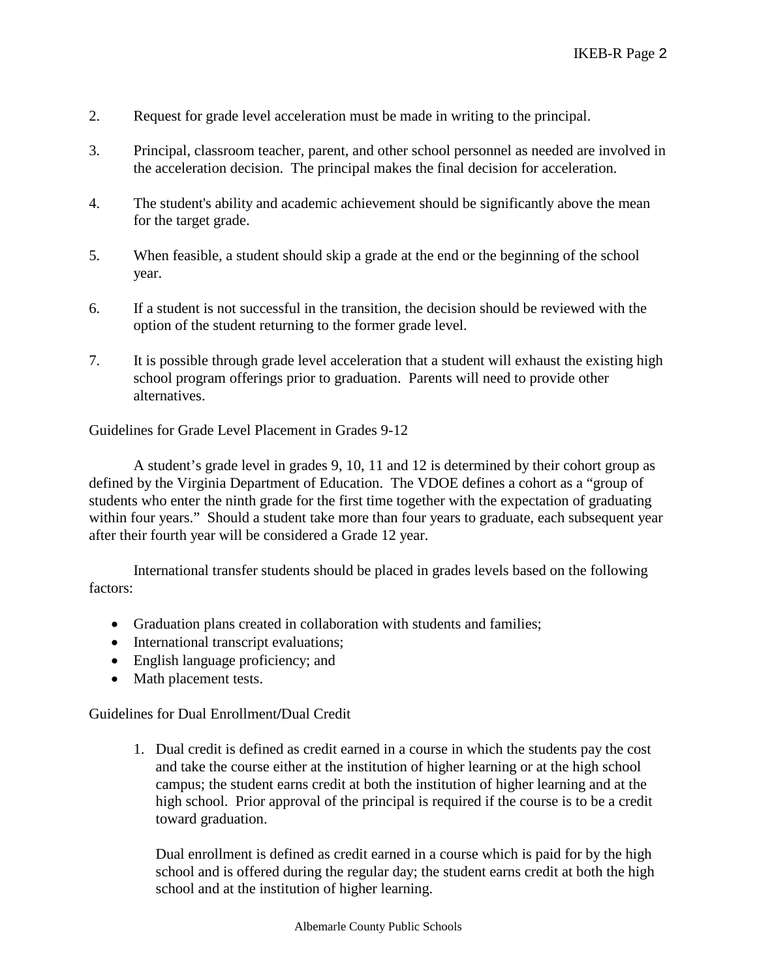- 2. Request for grade level acceleration must be made in writing to the principal.
- 3. Principal, classroom teacher, parent, and other school personnel as needed are involved in the acceleration decision. The principal makes the final decision for acceleration.
- 4. The student's ability and academic achievement should be significantly above the mean for the target grade.
- 5. When feasible, a student should skip a grade at the end or the beginning of the school year.
- 6. If a student is not successful in the transition, the decision should be reviewed with the option of the student returning to the former grade level.
- 7. It is possible through grade level acceleration that a student will exhaust the existing high school program offerings prior to graduation. Parents will need to provide other alternatives.

Guidelines for Grade Level Placement in Grades 9-12

A student's grade level in grades 9, 10, 11 and 12 is determined by their cohort group as defined by the Virginia Department of Education. The VDOE defines a cohort as a "group of students who enter the ninth grade for the first time together with the expectation of graduating within four years." Should a student take more than four years to graduate, each subsequent year after their fourth year will be considered a Grade 12 year.

International transfer students should be placed in grades levels based on the following factors:

- Graduation plans created in collaboration with students and families;
- International transcript evaluations;
- English language proficiency; and
- Math placement tests.

Guidelines for Dual Enrollment**/**Dual Credit

1. Dual credit is defined as credit earned in a course in which the students pay the cost and take the course either at the institution of higher learning or at the high school campus; the student earns credit at both the institution of higher learning and at the high school. Prior approval of the principal is required if the course is to be a credit toward graduation.

Dual enrollment is defined as credit earned in a course which is paid for by the high school and is offered during the regular day; the student earns credit at both the high school and at the institution of higher learning.